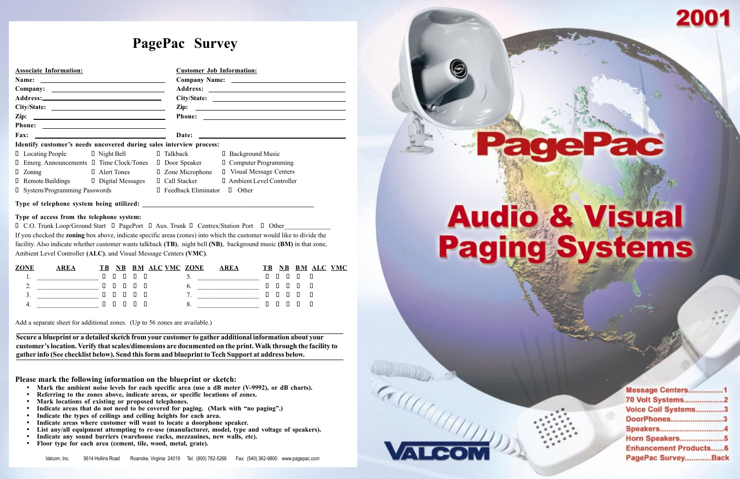O C.O. Trunk Loop/Ground Start O PagePort O Aux. Trunk O Centrex/Station Port O Other If you checked the zoning box above, indicate specific areas (zones) into which the customer would like to divide the facility. Also indicate whether customer wants talkback (TB), night bell (NB), background music (BM) in that zone, Ambient Level Controller (ALC), and Visual Message Centers (VMC).

### Type of access from the telephone system:

- Mark the ambient noise levels for each specific area (use a dB meter (V-9992), or dB charts).
- Referring to the zones above, indicate areas, or specific locations of zones.
- Mark locations of existing or proposed telephones.
- Indicate areas that do not need to be covered for paging. (Mark with "no paging".)
- Indicate the types of ceilings and ceiling heights for each area.
- Indicate areas where customer will want to locate a doorphone speaker.
- List any/all equipment attempting to re-use (manufacturer, model, type and voltage of speakers).
- Indicate any sound barriers (warehouse racks, mezzanines, new walls, etc).
- Floor type for each area (cement, tile, wood, metal, grate).

|          |                         | ľВ. |  |  | <b>ALC VMC ZONE</b> |                          |                       | ľВ |  | ALC | <b>VMC</b> |
|----------|-------------------------|-----|--|--|---------------------|--------------------------|-----------------------|----|--|-----|------------|
| . .      | _____________________   | П.  |  |  |                     | $\overline{\phantom{a}}$ | __________________    |    |  | - 0 |            |
| ∸        | ______________________  |     |  |  |                     |                          | _____________________ |    |  | Л   |            |
| <u>.</u> | ______________________  | Н.  |  |  |                     | -                        | _____________________ |    |  | - 0 |            |
|          | _______________<br>____ |     |  |  |                     |                          | _________________     |    |  | П   |            |

# PagePac<sup>®</sup> Survey

| <b>Associate Information:</b>                                       | <b>Customer Job Information:</b>                    |  |  |  |  |  |  |  |
|---------------------------------------------------------------------|-----------------------------------------------------|--|--|--|--|--|--|--|
|                                                                     |                                                     |  |  |  |  |  |  |  |
|                                                                     |                                                     |  |  |  |  |  |  |  |
|                                                                     |                                                     |  |  |  |  |  |  |  |
|                                                                     |                                                     |  |  |  |  |  |  |  |
|                                                                     |                                                     |  |  |  |  |  |  |  |
|                                                                     |                                                     |  |  |  |  |  |  |  |
| <b>Fax:</b>                                                         | <b>Date:</b>                                        |  |  |  |  |  |  |  |
| Identify customer's needs uncovered during sales interview process: |                                                     |  |  |  |  |  |  |  |
| $\Box$ Locating People $\Box$ Night Bell                            | □ Talkback<br><b>D</b> Background Music             |  |  |  |  |  |  |  |
| $\Box$ Emerg. Announcements $\Box$ Time Clock/Tones                 | <b>D</b> Computer Programming<br>Door Speaker       |  |  |  |  |  |  |  |
| $\Box$ Alert Tones<br>Zoning<br>Ш                                   | $\Box$ Zone Microphone<br>□ Visual Message Centers  |  |  |  |  |  |  |  |
| $\Box$ Remote Buildings $\Box$ Digital Messages                     | <b>I</b> Ambient Level Controller<br>□ Call Stacker |  |  |  |  |  |  |  |
| <b>D</b> System/Programming Passwords                               | <b>D</b> Feedback Eliminator<br>$\Box$ Other        |  |  |  |  |  |  |  |
| Type of telephone system being utilized:                            |                                                     |  |  |  |  |  |  |  |

Add a separate sheet for additional zones. (Up to 56 zones are available.)

Please mark the following information on the blueprint or sketch:

Secure a blueprint or a detailed sketch from your customer to gather additional information about your customer's location. Verify that scales/dimensions are documented on the print. Walk through the facility to gather info (See checklist below). Send this form and blueprint to Tech Support at address below.



# **Audio & Visual Paging Systems**

| Message Centers1             |  |
|------------------------------|--|
| 70 Volt Systems2             |  |
| Voice Coil Systems3          |  |
| DoorPhones3                  |  |
| Speakers4                    |  |
| Horn Speakers5               |  |
| <b>Enhancement Products6</b> |  |
| PagePac SurveyBack           |  |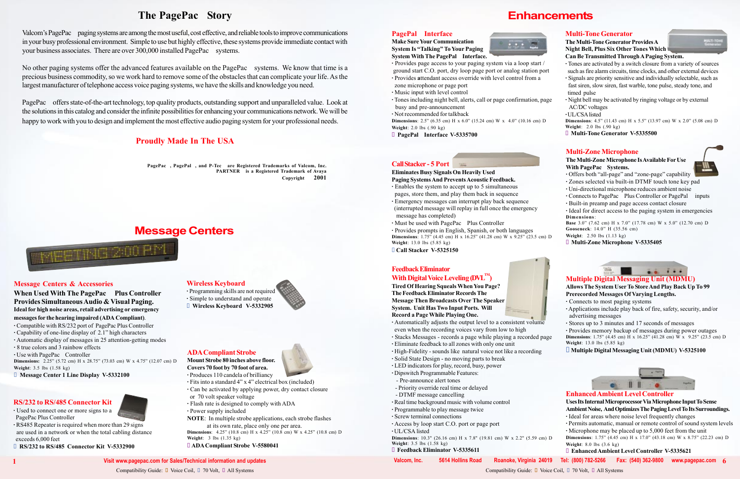# The PagePac<sup>®</sup> Story

Valcom's PagePac® paging systems are among the most useful, cost effective, and reliable tools to improve communications in your busy professional environment. Simple to use but highly effective, these systems provide immediate contact with your business associates. There are over 300,000 installed PagePac<sup>®</sup> systems.

No other paging systems offer the advanced features available on the PagePac® systems. We know that time is a precious business commodity, so we work hard to remove some of the obstacles that can complicate your life. As the largest manufacturer of telephone access voice paging systems, we have the skills and knowledge you need.

PagePac<sup>®</sup> offers state-of-the-art technology, top quality products, outstanding support and unparalleled value. Look at the solutions in this catalog and consider the infinite possibilities for enhancing your communications network. We will be happy to work with you to design and implement the most effective audio paging system for your professional needs.

When Used With The PagePac<sup>®</sup> Plus Controller Provides SimultaneousAudio & Visual Paging. Ideal for high noise areas, retail advertising or emergency messages for the hearing impaired (ADA Compliant). · Compatible with RS/232 port of PagePac Plus Controller

- $\cdot$  Capability of one-line display of 2.1" high characters
- · Automatic display of messages in 25 attention-getting modes
- · 8 true colors and 3 rainbow effects
- $\cdot$  Use with PagePac<sup>®</sup> Controller

**Dimensions:** 2.25" (5.72 cm) H x 28.75" (73.03 cm) W x 4.75" (12.07 cm) D

# Proudly Made In The USA

PagePac®, PagePal®, and P-Tec® are Registered Trademarks of Valcom, Inc.  $PARTNER^{\bigcirc\!\!\!\!\!\! \bigcirc}$  is a Registered Trademark of Avaya Copyright  $\odot$  2001

# Message Centers & Accessories

- $\cdot$  Fits into a standard 4" x 4" electrical box (included)
- · Can be activated by applying power, dry contact closure
- or 70 volt speaker voltage
- · Flash rate is designed to comply with ADA
- · Power supply included

**Dimensions**:  $4.25$ <sup>"</sup> (10.8 cm) H x  $4.25$ " (10.8 cm) W x  $4.25$ " (10.8 cm) D Weight: 3 lbs (1.35 kg)

· Programming skills are not required · Simple to understand and operate **U** Wireless Keyboard V-5332905



Weight: 3.5 lbs (1.58 kg)

**I** Message Center 1 Line Display V-5332100

# Message Centers

**Dimensions**: 2.5" (6.35 cm) H x 6.0" (15.24 cm) W x 4.0" (10.16 cm) D Weight: 2.0 lbs (.90 kg)

 $\Box$  PagePal<sup>®</sup> Interface V-5335700

# ADACompliant Strobe

Mount Strobe 80 inches above floor. Covers 70 foot by 70 foot of area. · Produces 110 candela of brilliancy

The Multi-Tone Generator Provides A Night Bell, Plus Six Other Tones Which Can Be Transmitted ThroughAPaging System.

NOTE: In multiple strobe applications, each strobe flashes at its own rate, place only one per area.

**Dimensions**: 4.5" (11.43 cm) H x 5.5" (13.97 cm) W x 2.0" (5.08 cm) D Weight: 2.0 lbs (.90 kg)

l ADA Compliant Strobe V-5580041

# Wireless Keyboard

# RS/232 to RS/485 Connector Kit

- · Used to connect one or more signs to a PagePac Plus Controller
- · RS485 Repeater is required when more than 29 signs are used in a network or when the total cabling distance exceeds 6,000 feet

**E RS/232 to RS/485 Connector Kit V-5332900** 



**Make Sure Your Communication** System Is "Talking" To Your Paging System With The PagePal<sup>®</sup> Interface.



- · Provides page access to your paging system via a loop start / ground start C.O. port, dry loop page port or analog station port
- · Provides attendant access override with level control from a zone microphone or page port
- · Music input with level control
- · Tones including night bell, alerts, call or page confirmation, page busy and pre-announcement
- · Not recommended for talkback

# Multi-Zone Microphone





 $\cdot$  Offers both "all-page" and "zone-page" capability

- · Zones selected via built-in DTMF touch tone key pad
- · Uni-directional microphone reduces ambient noise
- $\cdot$  Connects to PagePac<sup>®</sup> Plus Controller or PagePal<sup>®</sup> inputs
- · Built-in preamp and page access contact closure
- · Ideal for direct access to the paging system in emergencies Dimensions:

**Base** 3.0" (7.62 cm) H x 7.0" (17.78 cm) W x 5.0" (12.70 cm) D Gooseneck: 14.0" H (35.56 cm)

Weight: 2.50 lbs (1.13 kg)

l Multi-Zone Microphone V-5335405



# Multi-Tone Generator

· Tones are activated by a switch closure from a variety of sources such as fire alarm circuits, time clocks, and other external devices

- · Signals are priority sensitive and individually selectable, such as fast siren, slow siren, fast warble, tone pulse, steady tone, and timed pulse
- · Night bell may be activated by ringing voltage or by external AC/DC voltages

·UL/CSAlisted

l Multi-Tone Generator V-5335500

Multiple Digital Messaging Unit (MDMU)

Allows The System User To StoreAnd Play Back Up To 99 Prerecorded Messages Of Varying Lengths.

- · Connects to most paging systems
- · Applications include play back of fire, safety, security, and/or advertising messages
- · Stores up to 3 minutes and 17 seconds of messages

· Provides memory backup of messages during power outages **Dimensions:** 1.75" (4.45 cm) H x 16.25" (41.28 cm) W x  $9.25$ " (23.5 cm) D Weight: 13.0 lbs (5.85 kg)

 $\Box$  Multiple Digital Messaging Unit (MDMU) V-5325100

### CallStacker - 5 Port

# Eliminates Busy Signals On Heavily Used

- Paging Systems And PreventsAcoustic Feedback.
- · Enables the system to accept up to 5 simultaneous pages, store them, and play them back in sequence
- · Emergency messages can interrupt play back sequence
- (interrupted message will replay in full once the emergency message has completed)
- $\cdot$  Must be used with PagePac<sup>®</sup> Plus Controller
- · Provides prompts in English, Spanish, or both languages **Dimensions:** 1.75" (4.45 cm) H x 16.25" (41.28 cm) W x  $9.25$ " (23.5 cm) D Weight: 13.0 lbs (5.85 kg)

**Call Stacker V-5325150** 

# Feedback Eliminator With Digital Voice Leveling  $(DVL^{\mathbb{N}})$

Tired Of Hearing Squeals When You Page? The Feedback Eliminator Records The Message Then Broadcasts Over The Speaker System. Unit Has Two Input Ports. Will Record a Page While Playing One.



- · Automatically adjusts the output level to a consistent volume even when the recording voices vary from low to high
- · Stacks Messages records a page while playing a recorded page
- · Eliminate feedback to all zones with only one unit
- · High-Fidelity sounds like natural voice not like a recording
- · Solid State Design no moving parts to break
- · LED indicators for play, record, busy, power
- · Dipswitch Programmable Features:
- Pre-announce alert tones
- Priority override real time or delayed
- DTMF message cancelling
- · Real time background music with volume control
- · Programmable to play message twice
- · Screw terminal connections
- · Access by loop start C.O. port or page port
- · UL/CSA listed
- Dimensions: 10.3" (26.16 cm) H x 7.8" (19.81 cm) W x 2.2" (5.59 cm) D Weight: 3.5 lbs (1.58 kg)
- l Feedback Eliminator V-5335611
	-

Compatibility Guide:  $\Box$  Voice Coil,  $\Box$  70 Volt,  $\Box$  All Systems Compatibility Guide:  $\Box$  Voice Coil,  $\Box$  70 Volt,  $\Box$  All Systems Compatibility Guide:  $\Box$  Voice Coil,  $\Box$  70 Volt,  $\Box$  All Systems

# **Enhancements**

| rt |  |  |
|----|--|--|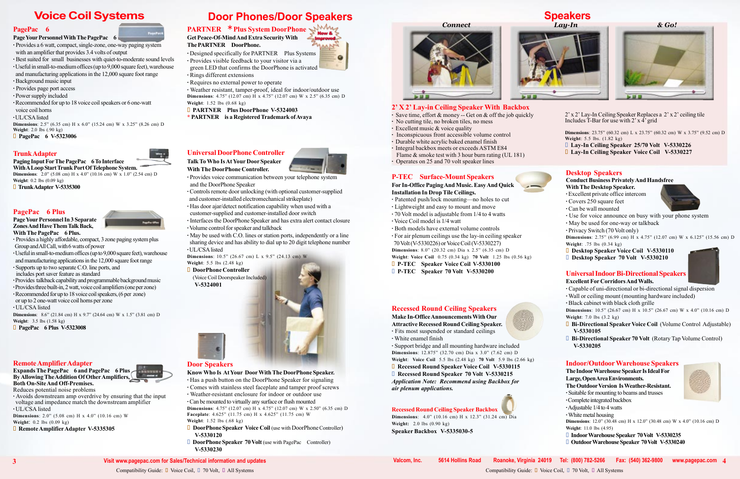### Universal DoorPhone Controller

Talk ToWho Is At Your Door Speaker With The DoorPhone Controller.



o

· Provides voice communication between your telephone system and the DoorPhone Speaker

· Controls remote door unlocking (with optional customer-supplied and customer-installed electromechanical strikeplate)

sharing device and has ability to dial up to 20 digit telephone number ·UL/CSAlisted Dimensions:  $10.5$ <sup>"</sup> (26.67 cm) L x 9.5<sup>"</sup> (24.13 cm) W

· Has door ajar/detect notification capability when used with a customer-supplied and customer-installed door switch

**DoorPhone Controller** (Voice Coil Doorspeaker Included)

> The IndoorWarehouse SpeakerIs Ideal For Large,OpenAreaEnvironments. The Outdoor Version Is Weather-Resistant.

· Interfaces the DoorPhone Speaker and has extra alert contact closure ·Volume control for speaker and talkback

· May be used with C.O. lines or station ports, independently or a line

**Dimensions:** 12.0" (30.48 cm) H x 12.0" (30.48 cm) W x 4.0" (10.16 cm) D Weight: 11.0 lbs (4.95)

- □ Indoor Warehouse Speaker 70 Volt V-5330235
- **D** Outdoor Warehouse Speaker 70 Volt V-5330240



Weight: 5.5 lbs (2.48 kg)

**Dimensions**: 2.75" (6.99 cm) H x 4.75" (12.07 cm) W x 6.125" (15.56 cm) D Weight: .75 lbs (0.34 kg)

- **D** Desktop Speaker Voice Coil V-5330110
- Desktop Speaker 70 Volt V-5330210

V-5324001



- · Suitable for mounting to beams and trusses
- ·Completeintegrated backbox
- ·Adjustable 1/4 to 4 watts
- ·White metal housing

**□ Recessed Round Speaker 70 Volt V-5330215** Application Note: Recommend using Backbox for air plenum applications.

·Can be mounted to virtually any surface or flush mounted **Dimensions**: 4.75" (12.07 cm) H x 4.75" (12.07 cm) W x 2.50" (6.35 cm) D Faceplate:  $4.625$ " (11.75 cm) H x  $4.625$ " (11.75 cm) W

# Desktop Speakers

### Conduct Business PrivatelyAnd Handsfree With The Desktop Speaker.

- $\Box$  DoorPhone Speaker Voice Coil (use with DoorPhone Controller) V-5330120
- **DoorPhone Speaker 70 Volt** (use with PagePac<sup>®</sup> Controller) V-5330230

Recessed Round Ceiling Speaker Backbox **Dimensions:** 4.0" (10.16 cm) H x 12.3" (31.24 cm) Dia



# 2' X 2' Lay-in Ceiling Speaker With Backbox

- · Excellent private office intercom
- · Covers 250 square feet
- · Can be wall mounted
- · Use for voice announce on busy with your phone system
- · May be used for one-way or talkback
- · Privacy Switch (70 Volt only)

**Dimensions:** 10.5" (26.67 cm) H x 10.5" (26.67 cm) W x 4.0" (10.16 cm) D Weight: 7.0 lbs (3.2 kg)

- **D** Bi-Directional Speaker Voice Coil (Volume Control Adjustable) V-5330105
- $\Box$  Bi-Directional Speaker 70 Volt (Rotary Tap Volume Control) V-5330205

# **Indoor/Outdoor Warehouse Speakers**

# Recessed Round Ceiling Speakers

Make In-OfficeAnnouncementsWith Our Attractive Recessed Round Ceiling Speaker.

- $\cdot$  Designed specifically for PARTNER<sup>( $\&$ </sup> Plus Systems
- · Provides visible feedback to your visitor via a
- green LED that confirms the DoorPhone is activated
- · Rings different extensions
- · Requires no external power to operate

· Fits most suspended or standard ceilings · White enamel finish

· Support bridge and all mounting hardware included **Dimensions**:  $12.875$ <sup>"</sup> (32.70 cm) Dia x 3.0<sup>"</sup> (7.62 cm) D Weight: Voice Coil 5.5 lbs (2.48 kg) 70 Volt 5.9 lbs (2.66 kg)

**□ Recessed Round Speaker Voice Coil V-5330115** 

With A Loop Start Trunk Port Of Telephone System. **Dimensions:** 2.0" (5.08 cm) H x 4.0" (10.16 cm) W x 1.0" (2.54 cm) D Weight: 0.2 lbs (0.09 kg)

**■** TrunkAdapter V-5335300

# PagePac<sup>®</sup> 6 Plus

Expands The PagePac<sup>®</sup> 6 and PagePac<sup>®</sup> 6 Plus By Allowing The Addition Of Other Amplifiers, Both On-SiteAnd Off-Premises.

# Door Speakers

### KnowWho Is At Your DoorWith The DoorPhone Speaker.

**Dimensions**:  $2.0$ <sup>"</sup> (5.08 cm) H x  $4.0$ <sup>"</sup> (10.16 cm) W Weight: 0.2 lbs (0.09 kg)

**■ Remote Amplifier Adapter V-5335305** 

# **Door Phones/Door Speakers Speakers Speakers Speakers** Speakers

# PARTNER<sup>®</sup>\* Plus System DoorPhone

- · Provides a 6 watt, compact, single-zone, one-way paging system with an amplifier that provides 3.4 volts of output
- · Best suited for small businesses with quiet-to-moderate sound levels
- ·Usefulin small-to-medium offices (upto 9,000 square feet), warehouse and manufacturing applications in the 12,000 square foot range
- ·Background music input
- · Provides page port access
- · Power supply included
- ·Recommended for up to 18 voice coil speakers or 6 one-watt
- voice coil horns
- ·UL/CSAlisted
- **Dimensions**: 2.5" (6.35 cm) H x 6.0" (15.24 cm) W x 3.25" (8.26 cm) D Weight: 2.0 lbs (.90 kg)
- **D** PagePac<sup>®</sup> 6 V-5323006

- · Has a push button on the DoorPhone Speaker for signaling
- · Comes with stainless steel faceplate and tamper proof screws
- · Weather-resistant enclosure for indoor or outdoor use

### PageYour Personnel In 3 Separate Zones And Have Them Talk Back, With The PagePac<sup>®</sup> 6 Plus.

# Weight: 1.52 lbs (.68 kg)

- · Provides a highly affordable, compact, 3 zone paging system plus Group and All Call, with 6 watts of power
- ·Usefulin small-to-medium offices (upto 9,000 square feet),warehouse and manufacturing applications in the 12,000 square foot range
- · Supports up to two separate C.O. line ports, and
- includes port saver feature as standard
- ·Provides talkback capability and programmable backgroundmusic
- ·Providesthree built-in, 2watt, voicecoilamplifiers (one perzone)
- ·Recommended for upto 18 voice coil speakers, (6 per zone)
- or up to 2 one-watt voice coil horns per zone
- · UL/CSA listed
- **Dimensions:** 8.6° (21.84 cm) H x 9.7° (24.64 cm) W x 1.5° (3.81 cm) D Weight: 3.5 lbs (1.58 kg)
- $\Box$  PagePac<sup>®</sup> 6 Plus V-5323008

Weight: 2.0 lbs (0.90 kg)

Compatibility Guide:  $\Box$  Voice Coil,  $\Box$  70 Volt,  $\Box$  All Systems Compatibility Guide:  $\Box$  Voice Coil,  $\Box$  70 Volt,  $\Box$  All Systems Compatibility Guide:  $\Box$  Voice Coil,  $\Box$  70 Volt,  $\Box$  All Systems

Speaker Backbox V-5335030-5

### Universal Indoor Bi-Directional Speakers

### Excellent For CorridorsAndWalls.

- · Capable of uni-directional or bi-directional signal dispersion
- · Wall or ceiling mount (mounting hardware included)
- · Black cabinet with black cloth grille

# Get Peace-Of-MindAnd Extra SecurityWith

# The PARTNER<sup>®</sup> DoorPhone.

- · Patented push/lock mounting—no holes to cut
- · Lightweight and easy to mount and move
- $\cdot$  70 Volt model is adjustable from 1/4 to 4 watts
- · Voice Coil model is 1/4 watt
- · Both models have external volume controls
- · For air plenum ceilings use the lay-in ceiling speaker
- 70Volt (V-5330226) or Voice Coil (V-5330227)

**Dimensions**: 8.0" (20.32 cm) Dia x 2.5" (6.35 cm) D

· Weather resistant, tamper-proof, ideal for indoor/outdoor use **Dimensions**: 4.75" (12.07 cm) H x 4.75" (12.07 cm) W x 2.5" (6.35 cm) D Weight: 1.52 lbs (0.68 kg)

- **D** PARTNER<sup>®</sup> Plus DoorPhone V-5324003
- \* PARTNER<sup>®</sup> is a Registered Trademark of Avaya

# Voice Coil Systems

# PagePac<sup>®</sup>  $6$

# Page Your Personnel With The PagePac<sup>®</sup> 6

# TrunkAdapter

# Paging Input For The PagePac<sup>®</sup> 6 To Interface

# RemoteAmplifierAdapter

Reduces potential noise problems · Avoids downstream amp overdrive by ensuring that the input

voltage and impedance match the downstream amplifier · UL/CSA listed

n Lay-In Ceiling Speaker Voice Coil V-5330227

- · Save time, effort & money -- Get on & off the job quickly
- · No cutting tile, no broken tiles, no mess
- · Excellent music & voice quality
- · Inconspicuous front accessible volume control
- · Durable white acrylic baked enamel finish
- · Integral backbox meets or exceeds ASTM E84 Flame & smoke test with 3 hour burn rating (UL 181)
- · Operates on 25 and 70 volt speaker lines

# P-TEC<sup>®</sup> Surface-Mount Speakers

### For In-Office PagingAnd Music. EasyAnd Quick Installation In Drop Tile Ceilings.

Weight: Voice Coil 0.75 (0.34 kg) 70 Volt 1.25 lbs (0.56 kg)

- **n** P-TEC<sup>®</sup> Speaker Voice Coil V-5330100
- $\Box$  P-TEC<sup>®</sup> Speaker 70 Volt V-5330200



 $2'$  x  $2'$  Lay-In Ceiling Speaker Replaces a  $2'$  x  $2'$  ceiling tile Includes T-Bar for use with  $2'$  x 4<sup> $\prime$ </sup> grid

**Dimensions**: 23.75" (60.32 cm) L x 23.75" (60.32 cm) W x 3.75" (9.52 cm) D Weight: 5.5 lbs. (1.82 kg) **Lay-In Ceiling Speaker 25/70 Volt V-5330226**